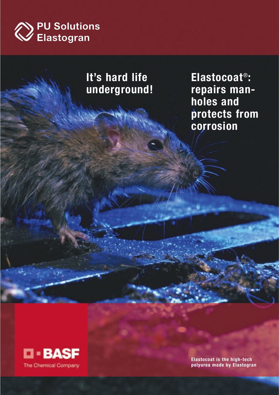

## **It's hard life underground!**

**Elastocoat**®**: repairs manholes and protects from corrosion**



**Elastocoat is the high-tech polyurea made by Elastogran**